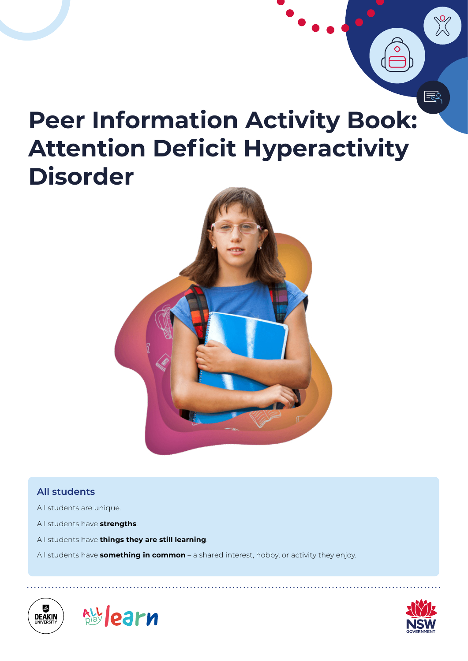# **Peer Information Activity Book: Attention Deficit Hyperactivity Disorder**



#### **All students**

- All students are unique.
- All students have **strengths**.
- All students have **things they are still learning**.
- All students have **something in common** a shared interest, hobby, or activity they enjoy.





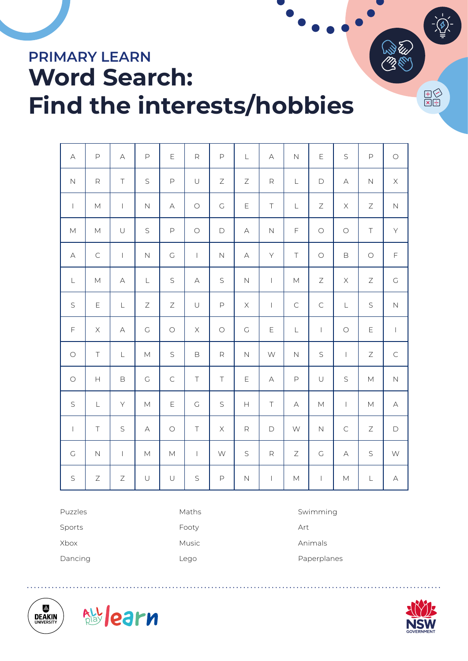# **PRIMARY LEARN Word Search: Find the interests/hobbies**

| $\forall$                                                                                                  | $\mathsf{P}$                                                                                               | $\forall$                             | $\mathsf{P}$                                                                                               | E                  | $\mathsf R$    | $\mathsf{P}$        | $\mathsf L$                                                   | $\forall$                | $\overline{N}$                                                                                             | $\mathsf E$                                                                                                | S                                                                                                          | $\mathsf{P}% _{T}$                                                                                         | $\bigcirc$  |
|------------------------------------------------------------------------------------------------------------|------------------------------------------------------------------------------------------------------------|---------------------------------------|------------------------------------------------------------------------------------------------------------|--------------------|----------------|---------------------|---------------------------------------------------------------|--------------------------|------------------------------------------------------------------------------------------------------------|------------------------------------------------------------------------------------------------------------|------------------------------------------------------------------------------------------------------------|------------------------------------------------------------------------------------------------------------|-------------|
| $\mathsf{N}$                                                                                               | $\mathsf R$                                                                                                | $\top$                                | S                                                                                                          | $\mathsf{P}% _{T}$ | $\cup$         | Ζ                   | Ζ                                                             | $\mathsf R$              | $\mathsf L$                                                                                                | $\mathsf D$                                                                                                | $\forall$                                                                                                  | $\mathbb N$                                                                                                | $\mathsf X$ |
| $\mathbf{I}$                                                                                               | $\mathsf{M}% _{T}=\mathsf{M}_{T}\!\left( a,b\right) ,\ \mathsf{M}_{T}=\mathsf{M}_{T}\!\left( a,b\right) ,$ | $\mathsf I$                           | $\hbox{N}$                                                                                                 | $\forall$          | $\bigcirc$     | $\mathsf C$         | Ε                                                             | $\top$                   | $\mathsf L$                                                                                                | $\mathsf Z$                                                                                                | $\mathsf X$                                                                                                | $\mathsf Z$                                                                                                | $\hbox{N}$  |
| $\mathsf{M}% _{T}=\mathsf{M}_{T}\!\left( a,b\right) ,\ \mathsf{M}_{T}=\mathsf{M}_{T}\!\left( a,b\right) ,$ | $\mathsf{M}% _{T}=\mathsf{M}_{T}\!\left( a,b\right) ,\ \mathsf{M}_{T}=\mathsf{M}_{T}\!\left( a,b\right) ,$ | $\cup$                                | S                                                                                                          | $\mathsf{P}% _{T}$ | $\bigcirc$     | $\mathsf D$         | $\forall$                                                     | $\hbox{N}$               | $\mathsf F$                                                                                                | $\bigcirc$                                                                                                 | $\bigcirc$                                                                                                 | $\top$                                                                                                     | Y           |
| $\forall$                                                                                                  | $\subset$                                                                                                  | $\overline{1}$                        | $\mathsf{N}$                                                                                               | $\mathsf C$        | $\overline{1}$ | $\mathsf{N}\xspace$ | $\forall$                                                     | Y                        | $\top$                                                                                                     | $\bigcirc$                                                                                                 | $\mathsf B$                                                                                                | $\bigcirc$                                                                                                 | F           |
| $\mathsf L$                                                                                                | $\mathsf{M}% _{T}=\mathsf{M}_{T}\!\left( a,b\right) ,\ \mathsf{M}_{T}=\mathsf{M}_{T}\!\left( a,b\right) ,$ | $\forall$                             | $\mathsf L$                                                                                                | $\mathsf S$        | $\forall$      | $\mathsf S$         | $\hbox{N}$                                                    | $\vert$                  | $\mathsf{M}% _{T}=\mathsf{M}_{T}\!\left( a,b\right) ,\ \mathsf{M}_{T}=\mathsf{M}_{T}\!\left( a,b\right) ,$ | $\mathsf Z$                                                                                                | $\mathsf X$                                                                                                | $\mathsf Z$                                                                                                | $\mathsf C$ |
| $\mathsf S$                                                                                                | $\mathsf E$                                                                                                | $\mathsf L$                           | Ζ                                                                                                          | $\mathsf Z$        | $\cup$         | $\mathsf{P}$        | $\mathsf X$                                                   | $\overline{\phantom{a}}$ | $\subset$                                                                                                  | $\mathsf C$                                                                                                | L                                                                                                          | S                                                                                                          | $\hbox{N}$  |
| $\mathsf F$                                                                                                | $\mathsf X$                                                                                                | $\forall$                             | $\mathsf C$                                                                                                | $\bigcirc$         | $\mathsf X$    | $\bigcirc$          | $\mathsf C$                                                   | $\mathsf E$              | $\mathsf L$                                                                                                | $\mathbf{I}$                                                                                               | $\bigcirc$                                                                                                 | $\mathsf E$                                                                                                | $\mathbb T$ |
| $\bigcirc$                                                                                                 | $\top$                                                                                                     | $\mathsf L$                           | $\mathsf{M}% _{T}=\mathsf{M}_{T}\!\left( a,b\right) ,\ \mathsf{M}_{T}=\mathsf{M}_{T}\!\left( a,b\right) ,$ | $\mathsf S$        | $\mathsf B$    | $\mathsf R$         | $\hbox{N}$                                                    | $\mathsf{W}$             | $\hbox{N}$                                                                                                 | $\mathsf S$                                                                                                | $\vert$                                                                                                    | $\mathsf Z$                                                                                                | $\mathsf C$ |
| $\bigcirc$                                                                                                 | $\boldsymbol{\mathsf{H}}$                                                                                  | $\mathsf B$                           | $\mathsf C$                                                                                                | $\mathsf C$        | $\top$         | $\top$              | $\mathsf E$                                                   | $\forall$                | $\mathsf{P}$                                                                                               | $\cup$                                                                                                     | S                                                                                                          | $\mathsf{M}$                                                                                               | $\hbox{N}$  |
| $\mathsf S$                                                                                                | $\mathsf L$                                                                                                | $\mathsf{Y}$                          | $\mathsf{M}% _{T}=\mathsf{M}_{T}\!\left( a,b\right) ,\ \mathsf{M}_{T}=\mathsf{M}_{T}\!\left( a,b\right) ,$ | E                  | $\mathsf C$    | $\mathsf S$         | $\mathsf{H}% _{\mathbb{R}}^{1}\!\left( \mathbb{R}^{2}\right)$ | $\top$                   | $\forall$                                                                                                  | $\mathsf{M}% _{T}=\mathsf{M}_{T}\!\left( a,b\right) ,\ \mathsf{M}_{T}=\mathsf{M}_{T}\!\left( a,b\right) ,$ | $\mathord{\text{I}}$                                                                                       | $\mathsf{M}% _{T}=\mathsf{M}_{T}\!\left( a,b\right) ,\ \mathsf{M}_{T}=\mathsf{M}_{T}\!\left( a,b\right) ,$ | $\forall$   |
| $\mathord{\text{\rm I}}$                                                                                   | $\top$                                                                                                     | $\mathsf S$                           | $\forall$                                                                                                  | $\bigcirc$         | $\top$         | $\mathsf X$         | $\mathsf R$                                                   | $\mathsf D$              | W                                                                                                          | $\hbox{N}$                                                                                                 | $\mathsf C$                                                                                                | $\mathsf Z$                                                                                                | $\mathsf D$ |
| $\mathsf{C}$                                                                                               | $\mathbb N$                                                                                                | $\begin{array}{c} \hline \end{array}$ | M                                                                                                          | $\mathsf{M}$       | $\mathbf{I}$   | W                   | S                                                             | $\mathsf{R}$             | Ζ                                                                                                          | $\mathsf C$                                                                                                | $\forall$                                                                                                  | S                                                                                                          | W           |
| $\mathsf S$                                                                                                | $\mathsf Z$                                                                                                | $\mathsf Z$                           | $\cup$                                                                                                     | $\cup$             | $\mathsf S$    | $\mathsf P$         | $\hbox{N}$                                                    | $\vert$                  | $\mathsf{M}% _{T}=\mathsf{M}_{T}\!\left( a,b\right) ,\ \mathsf{M}_{T}=\mathsf{M}_{T}\!\left( a,b\right) ,$ | $\, \vert \,$                                                                                              | $\mathsf{M}% _{T}=\mathsf{M}_{T}\!\left( a,b\right) ,\ \mathsf{M}_{T}=\mathsf{M}_{T}\!\left( a,b\right) ,$ | $\mathsf L$                                                                                                | $\forall$   |

Puzzles Sports Xbox

Dancing

Maths Footy Music

Lego

Swimming Art Animals

Paperplanes







 $\begin{array}{c}\n\bigoplus\limits_{i=1}^n\bigoplus\limits_{j=1}^n\bigoplus\limits_{j=1}^n\bigoplus\limits_{j=1}^n\bigoplus\limits_{j=1}^n\bigoplus\limits_{j=1}^n\bigoplus\limits_{j=1}^n\bigoplus\limits_{j=1}^n\bigoplus\limits_{j=1}^n\bigoplus\limits_{j=1}^n\bigoplus\limits_{j=1}^n\bigoplus\limits_{j=1}^n\bigoplus\limits_{j=1}^n\bigoplus\limits_{j=1}^n\bigoplus\limits_{j=1}^n\bigoplus\limits_{j=1}^n\bigoplus$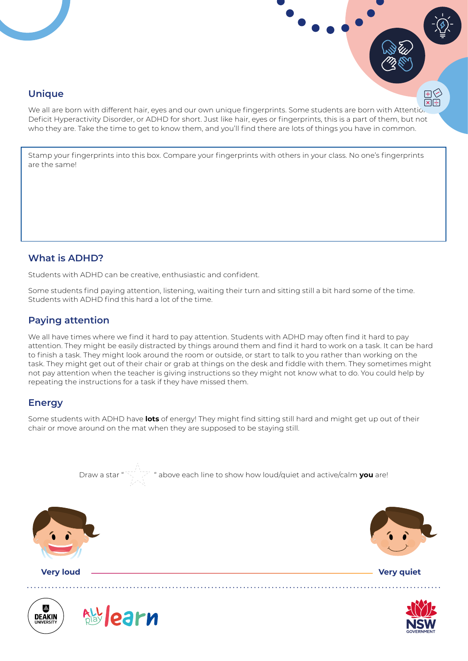

We all are born with different hair, eyes and our own unique fingerprints. Some students are born with Attentio Deficit Hyperactivity Disorder, or ADHD for short. Just like hair, eyes or fingerprints, this is a part of them, but not who they are. Take the time to get to know them, and you'll find there are lots of things you have in common.

Stamp your fingerprints into this box. Compare your fingerprints with others in your class. No one's fingerprints are the same!

# **What is ADHD?**

Students with ADHD can be creative, enthusiastic and confident.

Some students find paying attention, listening, waiting their turn and sitting still a bit hard some of the time. Students with ADHD find this hard a lot of the time.

# **Paying attention**

We all have times where we find it hard to pay attention. Students with ADHD may often find it hard to pay attention. They might be easily distracted by things around them and find it hard to work on a task. It can be hard to finish a task. They might look around the room or outside, or start to talk to you rather than working on the task. They might get out of their chair or grab at things on the desk and fiddle with them. They sometimes might not pay attention when the teacher is giving instructions so they might not know what to do. You could help by repeating the instructions for a task if they have missed them.

# **Energy**

Some students with ADHD have **lots** of energy! They might find sitting still hard and might get up out of their chair or move around on the mat when they are supposed to be staying still.





田く